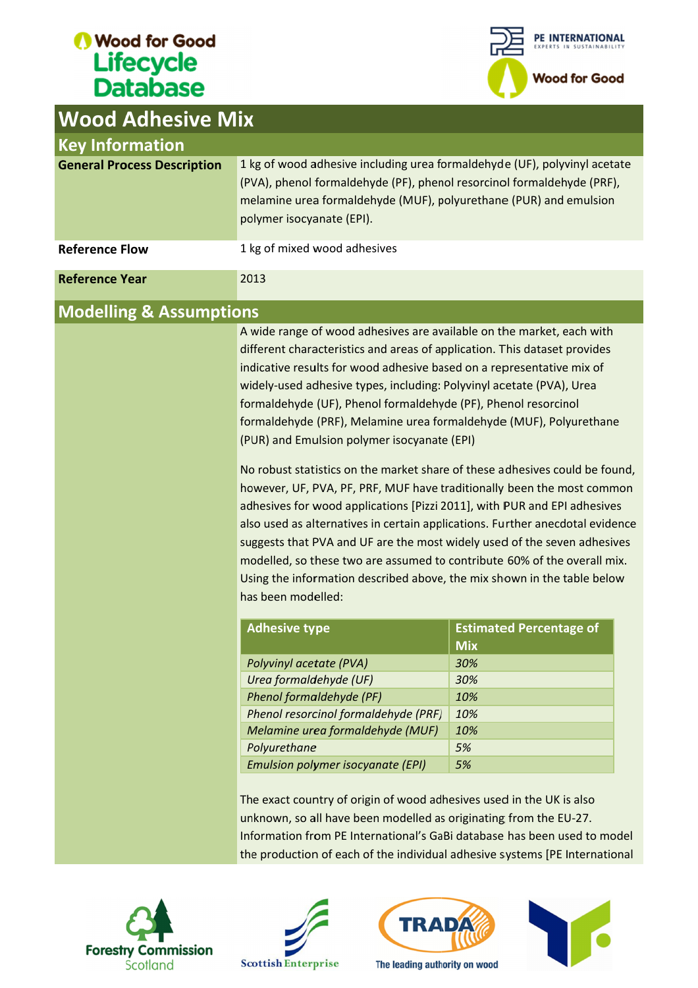# *O* Wood for Good<br> **Lifecycle**<br>
Database



| <b>Wood Adhesive Mix</b>           |                                                                                                                                                                                                                                                                                                                                                                                                                                                                                                                                                                                                                                                                                                                                                                                                                                                                                                                                                                                                                                                                           |                                |  |
|------------------------------------|---------------------------------------------------------------------------------------------------------------------------------------------------------------------------------------------------------------------------------------------------------------------------------------------------------------------------------------------------------------------------------------------------------------------------------------------------------------------------------------------------------------------------------------------------------------------------------------------------------------------------------------------------------------------------------------------------------------------------------------------------------------------------------------------------------------------------------------------------------------------------------------------------------------------------------------------------------------------------------------------------------------------------------------------------------------------------|--------------------------------|--|
| <b>Key Information</b>             |                                                                                                                                                                                                                                                                                                                                                                                                                                                                                                                                                                                                                                                                                                                                                                                                                                                                                                                                                                                                                                                                           |                                |  |
| <b>General Process Description</b> | 1 kg of wood adhesive including urea formaldehyde (UF), polyvinyl acetate<br>(PVA), phenol formaldehyde (PF), phenol resorcinol formaldehyde (PRF),<br>melamine urea formaldehyde (MUF), polyurethane (PUR) and emulsion<br>polymer isocyanate (EPI).                                                                                                                                                                                                                                                                                                                                                                                                                                                                                                                                                                                                                                                                                                                                                                                                                     |                                |  |
| <b>Reference Flow</b>              | 1 kg of mixed wood adhesives                                                                                                                                                                                                                                                                                                                                                                                                                                                                                                                                                                                                                                                                                                                                                                                                                                                                                                                                                                                                                                              |                                |  |
| <b>Reference Year</b>              | 2013                                                                                                                                                                                                                                                                                                                                                                                                                                                                                                                                                                                                                                                                                                                                                                                                                                                                                                                                                                                                                                                                      |                                |  |
| <b>Modelling &amp; Assumptions</b> |                                                                                                                                                                                                                                                                                                                                                                                                                                                                                                                                                                                                                                                                                                                                                                                                                                                                                                                                                                                                                                                                           |                                |  |
|                                    | A wide range of wood adhesives are available on the market, each with<br>different characteristics and areas of application. This dataset provides<br>indicative results for wood adhesive based on a representative mix of<br>widely-used adhesive types, including: Polyvinyl acetate (PVA), Urea<br>formaldehyde (UF), Phenol formaldehyde (PF), Phenol resorcinol<br>formaldehyde (PRF), Melamine urea formaldehyde (MUF), Polyurethane<br>(PUR) and Emulsion polymer isocyanate (EPI)<br>No robust statistics on the market share of these adhesives could be found,<br>however, UF, PVA, PF, PRF, MUF have traditionally been the most common<br>adhesives for wood applications [Pizzi 2011], with PUR and EPI adhesives<br>also used as alternatives in certain applications. Further anecdotal evidence<br>suggests that PVA and UF are the most widely used of the seven adhesives<br>modelled, so these two are assumed to contribute 60% of the overall mix.<br>Using the information described above, the mix shown in the table below<br>has been modelled: |                                |  |
|                                    | <b>Adhesive type</b>                                                                                                                                                                                                                                                                                                                                                                                                                                                                                                                                                                                                                                                                                                                                                                                                                                                                                                                                                                                                                                                      | <b>Estimated Percentage of</b> |  |
|                                    |                                                                                                                                                                                                                                                                                                                                                                                                                                                                                                                                                                                                                                                                                                                                                                                                                                                                                                                                                                                                                                                                           | <b>Mix</b>                     |  |
|                                    | Polyvinyl acetate (PVA)                                                                                                                                                                                                                                                                                                                                                                                                                                                                                                                                                                                                                                                                                                                                                                                                                                                                                                                                                                                                                                                   | 30%                            |  |
|                                    | Urea formaldehyde (UF)                                                                                                                                                                                                                                                                                                                                                                                                                                                                                                                                                                                                                                                                                                                                                                                                                                                                                                                                                                                                                                                    | 30%                            |  |
|                                    | Phenol formaldehyde (PF)<br>Phenol resorcinol formaldehyde (PRF)                                                                                                                                                                                                                                                                                                                                                                                                                                                                                                                                                                                                                                                                                                                                                                                                                                                                                                                                                                                                          | 10%<br>10%                     |  |
|                                    | Melamine urea formaldehyde (MUF)                                                                                                                                                                                                                                                                                                                                                                                                                                                                                                                                                                                                                                                                                                                                                                                                                                                                                                                                                                                                                                          | 10%                            |  |
|                                    | Polyurethane                                                                                                                                                                                                                                                                                                                                                                                                                                                                                                                                                                                                                                                                                                                                                                                                                                                                                                                                                                                                                                                              | 5%                             |  |
|                                    | <b>Emulsion polymer isocyanate (EPI)</b>                                                                                                                                                                                                                                                                                                                                                                                                                                                                                                                                                                                                                                                                                                                                                                                                                                                                                                                                                                                                                                  | 5%                             |  |
|                                    | The exact country of origin of wood adhesives used in the UK is also<br>unknown, so all have been modelled as originating from the EU-27.<br>Information from PE International's GaBi database has been used to model<br>the production of each of the individual adhesive systems [PE International                                                                                                                                                                                                                                                                                                                                                                                                                                                                                                                                                                                                                                                                                                                                                                      |                                |  |







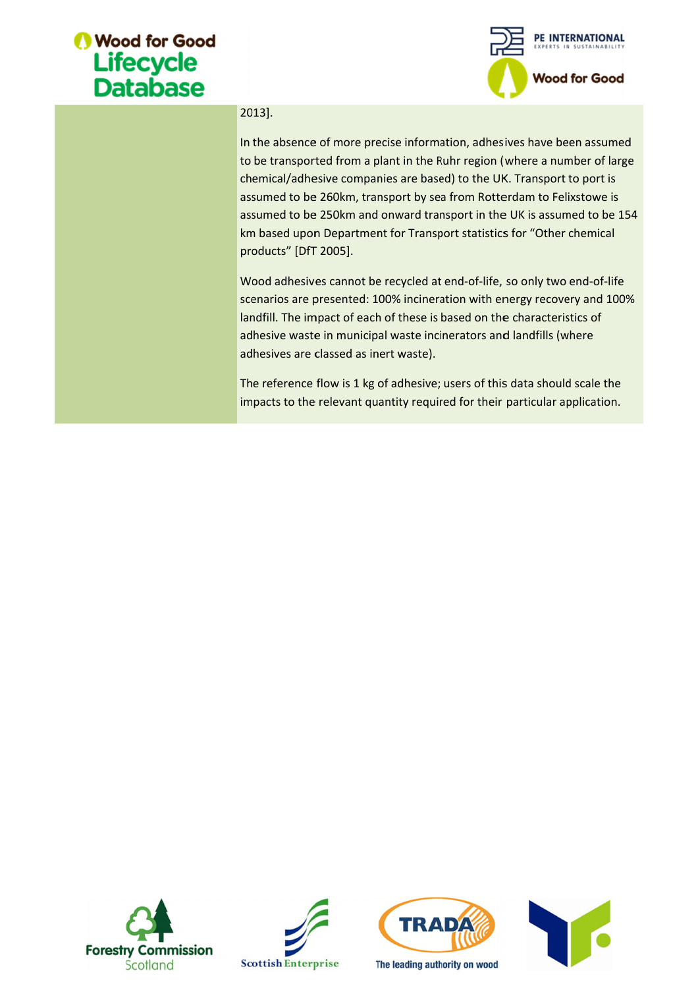#### **Wood for Good** Lifecycle **Database**



#### 2013 2013].

In the absence of more precise information, adhesives to be transported from a plant in the Ruhr region (where a number of large chemical/adhesive companies are based) to the UK. Transport to port is assumed to be 260km, transport by sea from Rotterdam to Felixstowe is assume chemical/adhesive companies are based) to the UK. Transport to port is assumed to be 260km, transport by sea from Rotterdam to Felixstowe is 260km, transport by sea from Rotterdam to Felixstowe is assumed to be 250km and onward transport in the UK is assumed to be assumed to be 250km and onward transport in the UK is assumed to be<br>km based upon Department for Transport statistics for "Other chemical products" [DfT 2005]. km based upon Department for Transport statistics for "Other chemical<br>products" [DfT 2005].<br>Wood adhesives cannot be recycled at end-of-life, so only two end-of-life In the absence of more precise information, adhesives have been assume<br>to be transported from a plant in the Ruhr region (where a number of lar<br>chemical/adhesive companies are based) to the UK. Transport to port is<br>assumed be transported from a plant in the Ruhr region (where a number of largemical/adhesive companies are based) to the UK. Transport to port is sumed to be 250km and onward transport in the UK is assumed to be 1 based upon Depa precise information, adhesives have been<br>a plant in the Ruhr region (where a numb<br>panies are based) to the UK. Transport to<br>transport by sea from Rotterdam to Felixs<br>nd onward transport in the UK is assumed<br>nent for Transp 260km, transport by sea from Rotterdam to Felixsto<br>250km and onward transport in the UK is assumed 1<br>Department for Transport statistics for "Other cher<br>2005].<br>Is cannot be recycled at end-of-life, so only two end dhesives have been assumed<br>
sion (where a number of large<br>
he UK. Transport to port is<br>
Rotterdam to Felixstowe is<br>
n the UK is assumed to be 154<br>
tistics for "Other chemical<br>
-life, so only two end-of-life<br>
ith energy rec explom (where a number of large<br>the UK. Transport to port is<br>in Rotterdam to Felixstowe is<br>in the UK is assumed to be 154

scenarios are presented: 100% incineration with energy recovery and 100% landfill. The impact of each of these is based on the characteristics of<br>adhesive waste in municipal waste incinerators and landfills (where<br>adhesives are classed as inert waste). adhesive waste in municipal waste incinerators and landfills (where adhesives are classed as inert waste). scenarios are presented: 100% incineration with energy recovery and 100<br>landfill. The impact of each of these is based on the characteristics of<br>adhesive waste in municipal waste incinerators and landfills (where<br>adhesives is are presented: 100% incineration with energy recovery and<br>The impact of each of these is based on the characteristics of<br>e waste in municipal waste incinerators and landfills (where

impacts to the relevant quantity required for their particular application.







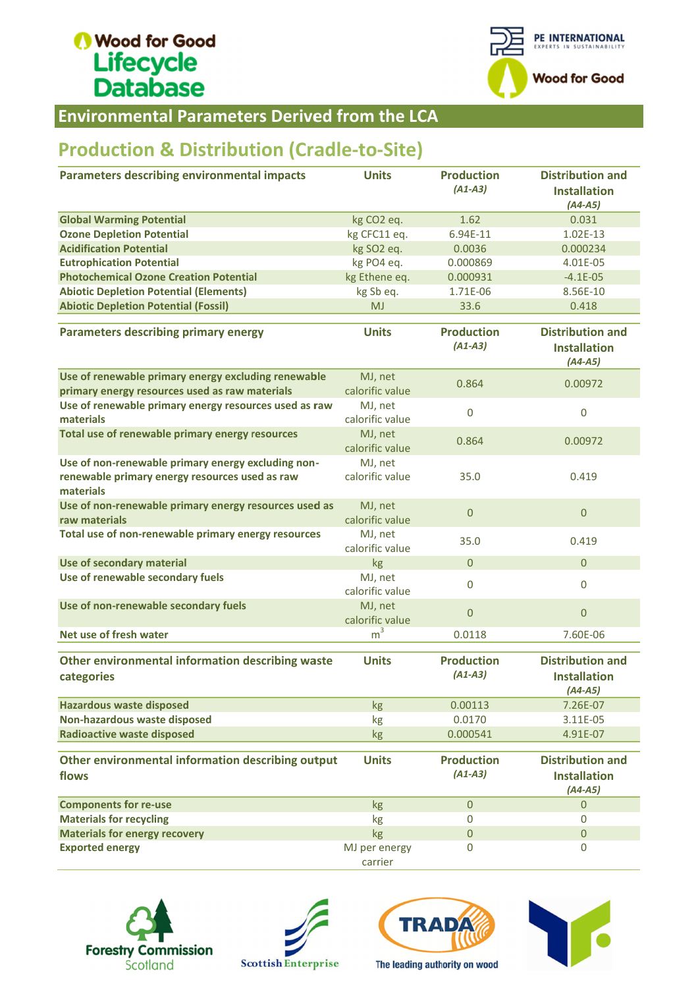## Wood for Good Lifecycle<br>Database



Environmental Parameters Derived from Environmental Parameters Derived the LCA

### **Production & Distribution (Cradle-to-Site)**

| Parameters describing environmental impacts                                                                       | <b>Units</b>               | <b>Production</b><br>$(A1-A3)$ | <b>Distribution and</b><br><b>Installation</b><br>$(A4-A5)$ |
|-------------------------------------------------------------------------------------------------------------------|----------------------------|--------------------------------|-------------------------------------------------------------|
| <b>Global Warming Potential</b>                                                                                   | kg CO2 eq.                 | 1.62                           | 0.031                                                       |
| <b>Ozone Depletion Potential</b>                                                                                  | kg CFC11 eq.               | 6.94E-11                       | 1.02E-13                                                    |
| <b>Acidification Potential</b>                                                                                    | kg SO2 eq.                 | 0.0036                         | 0.000234                                                    |
| <b>Eutrophication Potential</b>                                                                                   | kg PO4 eq.                 | 0.000869                       | 4.01E-05                                                    |
| <b>Photochemical Ozone Creation Potential</b>                                                                     | kg Ethene eq.              | 0.000931                       | $-4.1E-05$                                                  |
| <b>Abiotic Depletion Potential (Elements)</b>                                                                     | kg Sb eq.                  | 1.71E-06                       | 8.56E-10                                                    |
| <b>Abiotic Depletion Potential (Fossil)</b>                                                                       | <b>MJ</b>                  | 33.6                           | 0.418                                                       |
| <b>Parameters describing primary energy</b>                                                                       | <b>Units</b>               | <b>Production</b><br>$(A1-A3)$ | <b>Distribution and</b><br><b>Installation</b><br>$(A4-A5)$ |
| Use of renewable primary energy excluding renewable                                                               | MJ, net                    | 0.864                          | 0.00972                                                     |
| primary energy resources used as raw materials                                                                    | calorific value            |                                |                                                             |
| Use of renewable primary energy resources used as raw<br>materials                                                | MJ, net<br>calorific value | $\mathbf 0$                    | $\mathbf 0$                                                 |
| Total use of renewable primary energy resources                                                                   | MJ, net<br>calorific value | 0.864                          | 0.00972                                                     |
| Use of non-renewable primary energy excluding non-<br>renewable primary energy resources used as raw<br>materials | MJ, net<br>calorific value | 35.0                           | 0.419                                                       |
| Use of non-renewable primary energy resources used as<br>raw materials                                            | MJ, net<br>calorific value | $\mathbf{0}$                   | $\mathbf 0$                                                 |
| Total use of non-renewable primary energy resources                                                               | MJ, net<br>calorific value | 35.0                           | 0.419                                                       |
| Use of secondary material                                                                                         | kg                         | $\mathbf{0}$                   | $\mathbf{0}$                                                |
| Use of renewable secondary fuels                                                                                  | MJ, net<br>calorific value | $\mathbf{0}$                   | $\mathbf 0$                                                 |
| Use of non-renewable secondary fuels                                                                              | MJ, net<br>calorific value | $\mathbf{0}$                   | $\overline{0}$                                              |
| Net use of fresh water                                                                                            | m <sup>3</sup>             | 0.0118                         | 7.60E-06                                                    |
| Other environmental information describing waste<br>categories                                                    | <b>Units</b>               | <b>Production</b><br>$(A1-A3)$ | <b>Distribution and</b><br><b>Installation</b><br>$(A4-A5)$ |
| <b>Hazardous waste disposed</b>                                                                                   | kg                         | 0.00113                        | 7.26E-07                                                    |
| Non-hazardous waste disposed                                                                                      | kg                         | 0.0170                         | 3.11E-05                                                    |
| <b>Radioactive waste disposed</b>                                                                                 | kg                         | 0.000541                       | 4.91E-07                                                    |
| Other environmental information describing output                                                                 | <b>Units</b>               | <b>Production</b><br>$(A1-A3)$ | <b>Distribution and</b>                                     |
| flows                                                                                                             |                            |                                | <b>Installation</b><br>$(A4-A5)$                            |
| <b>Components for re-use</b>                                                                                      | kg                         | $\overline{0}$                 | $\mathbf 0$                                                 |
| <b>Materials for recycling</b>                                                                                    | kg                         | $\pmb{0}$                      | 0                                                           |
| <b>Materials for energy recovery</b>                                                                              | kg                         | $\pmb{0}$                      | $\mathbf 0$                                                 |
| <b>Exported energy</b>                                                                                            | MJ per energy<br>carrier   | 0                              | 0                                                           |









The leading authority on wood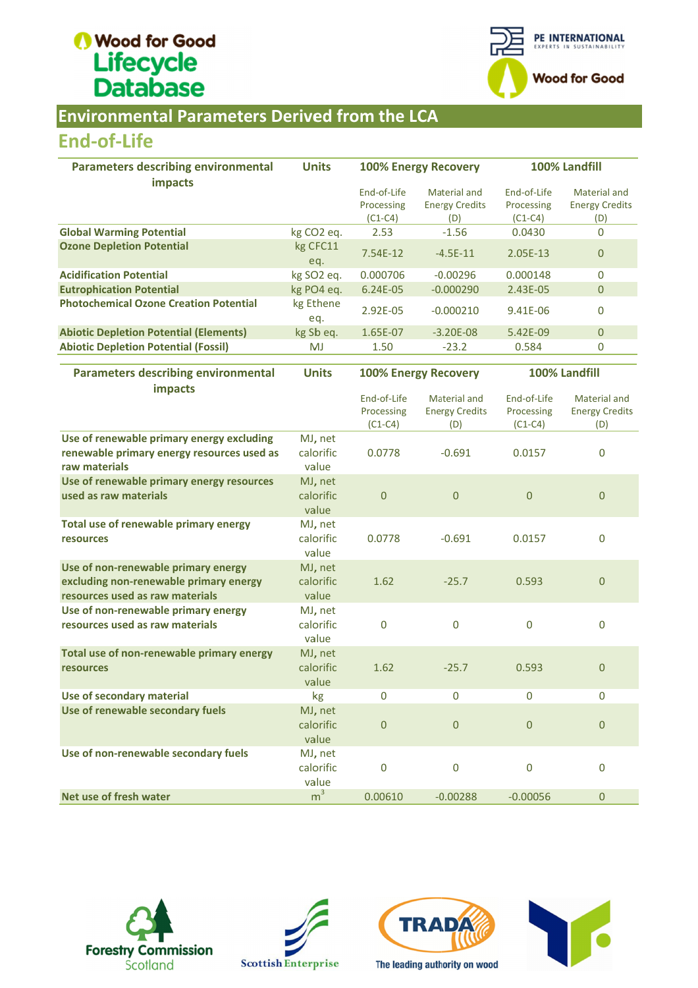## Wood for Good Lifecycle<br>Database



#### Environmental Parameters Derived from the LCA Environmental LCA Parameters Derived

#### End End-of-Life

| <b>Environmental Parameters Derived from the LCA</b>                                                             |                                             |                                        |                                              |                                        |                                              |
|------------------------------------------------------------------------------------------------------------------|---------------------------------------------|----------------------------------------|----------------------------------------------|----------------------------------------|----------------------------------------------|
| <b>End-of-Life</b>                                                                                               |                                             |                                        |                                              |                                        |                                              |
| <b>Parameters describing environmental</b>                                                                       | <b>Units</b><br><b>100% Energy Recovery</b> |                                        |                                              | 100% Landfill                          |                                              |
| impacts                                                                                                          |                                             | End-of-Life<br>Processing<br>$(C1-C4)$ | Material and<br><b>Energy Credits</b><br>(D) | End-of-Life<br>Processing<br>$(C1-C4)$ | Material and<br><b>Energy Credits</b><br>(D) |
| <b>Global Warming Potential</b>                                                                                  | kg CO <sub>2</sub> eq.                      | 2.53                                   | $-1.56$                                      | 0.0430                                 | $\Omega$                                     |
| <b>Ozone Depletion Potential</b>                                                                                 | kg CFC11<br>eq.                             | 7.54E-12                               | $-4.5E-11$                                   | 2.05E-13                               | $\mathbf{0}$                                 |
| <b>Acidification Potential</b>                                                                                   | kg SO2 eq.                                  | 0.000706                               | $-0.00296$                                   | 0.000148                               | $\mathbf 0$                                  |
| <b>Eutrophication Potential</b>                                                                                  | kg PO4 eq.                                  | 6.24E-05                               | $-0.000290$                                  | 2.43E-05                               | $\overline{0}$                               |
| <b>Photochemical Ozone Creation Potential</b>                                                                    | kg Ethene<br>eq.                            | 2.92E-05                               | $-0.000210$                                  | 9.41E-06                               | $\mathbf 0$                                  |
| <b>Abiotic Depletion Potential (Elements)</b>                                                                    | kg Sb eq.                                   | 1.65E-07                               | $-3.20E - 08$                                | 5.42E-09                               | $\boldsymbol{0}$                             |
| <b>Abiotic Depletion Potential (Fossil)</b>                                                                      | <b>MJ</b>                                   | 1.50                                   | $-23.2$                                      | 0.584                                  | 0                                            |
|                                                                                                                  |                                             |                                        |                                              |                                        |                                              |
| <b>Parameters describing environmental</b>                                                                       | <b>Units</b>                                |                                        | <b>100% Energy Recovery</b>                  |                                        | 100% Landfill                                |
| impacts                                                                                                          |                                             | End-of-Life<br>Processing<br>$(C1-C4)$ | Material and<br><b>Energy Credits</b><br>(D) | End-of-Life<br>Processing<br>$(C1-C4)$ | Material and<br><b>Energy Credits</b><br>(D) |
| Use of renewable primary energy excluding<br>renewable primary energy resources used as<br>raw materials         | MJ, net<br>calorific<br>value               | 0.0778                                 | $-0.691$                                     | 0.0157                                 | $\mathbf 0$                                  |
| Use of renewable primary energy resources<br>used as raw materials                                               | MJ, net<br>calorific<br>value               | $\overline{0}$                         | $\overline{0}$                               | $\overline{0}$                         | $\pmb{0}$                                    |
| Total use of renewable primary energy<br>resources                                                               | MJ, net<br>calorific<br>value               | 0.0778                                 | $-0.691$                                     | 0.0157                                 | $\mathbf 0$                                  |
| Use of non-renewable primary energy<br>excluding non-renewable primary energy<br>resources used as raw materials | MJ, net<br>calorific<br>value               | 1.62                                   | $-25.7$                                      | 0.593                                  | $\mathbf{0}$                                 |
| Use of non-renewable primary energy<br>resources used as raw materials                                           | MJ, net<br>calorific<br>value               | 0                                      | 0                                            | 0                                      | $\pmb{0}$                                    |
| Total use of non-renewable primary energy<br><b>resources</b>                                                    | MJ, net<br>calorific<br>value               | 1.62                                   | $-25.7$                                      | 0.593                                  | $\mathbf{0}$                                 |
| Use of secondary material                                                                                        | kg                                          | $\boldsymbol{0}$                       | $\pmb{0}$                                    | $\mathbf 0$                            | 0                                            |
| Use of renewable secondary fuels                                                                                 | MJ, net<br>calorific<br>value               | $\theta$                               | $\boldsymbol{0}$                             | $\mathbf{0}$                           | $\pmb{0}$                                    |
| Use of non-renewable secondary fuels                                                                             | MJ, net<br>calorific<br>value               | $\mathbf 0$                            | $\mathbf 0$                                  | $\mathbf 0$                            | $\mathbf 0$                                  |
| Net use of fresh water                                                                                           | m <sup>3</sup>                              | 0.00610                                | $-0.00288$                                   | $-0.00056$                             | $\pmb{0}$                                    |